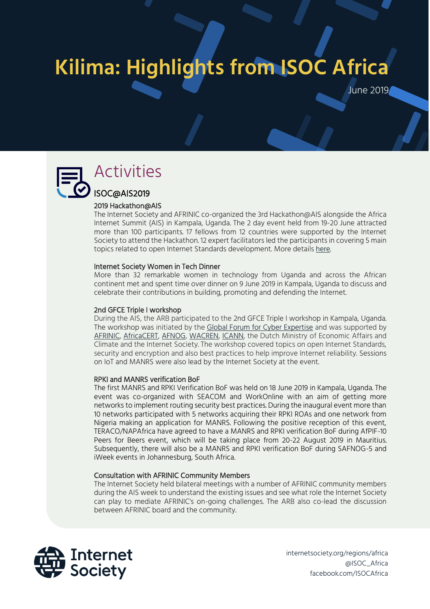# : **Kilima: Highlights from ISOC Africa**

June 2019



# Activities

### ISOC@AIS2019 2019 Hackathon@AIS

The Internet Society and AFRINIC co-organized the 3rd Hackathon@AIS alongside the Africa Internet Summit (AIS) in Kampala, Uganda. The 2 day event held from 19-20 June attracted more than 100 participants. 17 fellows from 12 countries were supported by the Internet Society to attend the Hackathon. 12 expert facilitators led the participants in covering 5 main topics related to open Internet Standards development. More details [here.](https://hackathon.internetsummitafrica.org/)

### Internet Society Women in Tech Dinner

More than 32 remarkable women in technology from Uganda and across the African continent met and spent time over dinner on 9 June 2019 in Kampala, Uganda to discuss and celebrate their contributions in building, promoting and defending the Internet.

### 2nd GFCE Triple I workshop

During the AIS, the ARB participated to the 2nd GFCE Triple I workshop in Kampala, Uganda. The workshop was initiated by the [Global Forum for Cyber Expertise](https://www.thegfce.com/) and was supported by [AFRINIC,](https://afrinic.net/) [AfricaCERT,](https://www.africacert.org/) [AFNOG,](ttps://www.afnog.org/) [WACREN,](ttps://www.wacren.net/) [ICANN,](ttp://www.icann.org/) the Dutch Ministry of Economic Affairs and Climate and the Internet Society. The workshop covered topics on open Internet Standards, security and encryption and also best practices to help improve Internet reliability. Sessions on IoT and MANRS were also lead by the Internet Society at the event.

### RPKI and MANRS verification BoF

The first MANRS and RPKI Verification BoF was held on 18 June 2019 in Kampala, Uganda. The event was co-organized with SEACOM and WorkOnline with an aim of getting more networks to implement routing security best practices. During the inaugural event more than 10 networks participated with 5 networks acquiring their RPKI ROAs and one network from Nigeria making an application for MANRS. Following the positive reception of this event, TERACO/NAPAfrica have agreed to have a MANRS and RPKI verification BoF during AfPIF-10 Peers for Beers event, which will be taking place from 20-22 August 2019 in Mauritius. Subsequently, there will also be a MANRS and RPKI verification BoF during SAFNOG-5 and iWeek events in Johannesburg, South Africa.

### Consultation with AFRINIC Community Members

The Internet Society held bilateral meetings with a number of AFRINIC community members during the AIS week to understand the existing issues and see what role the Internet Society can play to mediate AFRINIC's on-going challenges. The ARB also co-lead the discussion between AFRINIC board and the community.



internetsociety.org/regions/africa @ISOC\_Africa facebook.com/ISOCAfrica